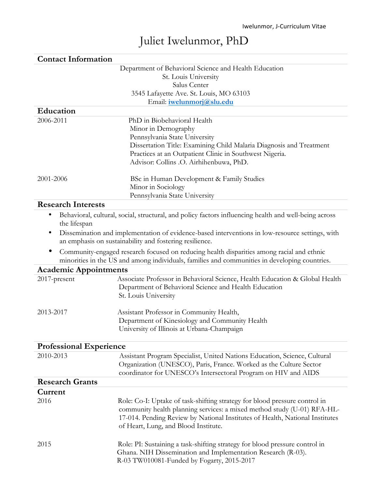# Juliet Iwelunmor, PhD

| <b>Contact Information</b>     |                                                                                                                                             |  |
|--------------------------------|---------------------------------------------------------------------------------------------------------------------------------------------|--|
|                                | Department of Behavioral Science and Health Education                                                                                       |  |
|                                | St. Louis University                                                                                                                        |  |
|                                | Salus Center                                                                                                                                |  |
|                                | 3545 Lafayette Ave. St. Louis, MO 63103                                                                                                     |  |
|                                | Email: iwelunmorj@slu.edu                                                                                                                   |  |
| Education                      |                                                                                                                                             |  |
| 2006-2011                      | PhD in Biobehavioral Health                                                                                                                 |  |
|                                | Minor in Demography                                                                                                                         |  |
|                                | Pennsylvania State University                                                                                                               |  |
|                                | Dissertation Title: Examining Child Malaria Diagnosis and Treatment                                                                         |  |
|                                | Practices at an Outpatient Clinic in Southwest Nigeria.                                                                                     |  |
|                                | Advisor: Collins .O. Airhihenbuwa, PhD.                                                                                                     |  |
| 2001-2006                      | BSc in Human Development & Family Studies                                                                                                   |  |
|                                | Minor in Sociology                                                                                                                          |  |
|                                | Pennsylvania State University                                                                                                               |  |
| <b>Research Interests</b>      |                                                                                                                                             |  |
| ٠                              | Behavioral, cultural, social, structural, and policy factors influencing health and well-being across                                       |  |
| the lifespan                   |                                                                                                                                             |  |
|                                | Dissemination and implementation of evidence-based interventions in low-resource settings, with                                             |  |
|                                | an emphasis on sustainability and fostering resilience.                                                                                     |  |
|                                | Community-engaged research focused on reducing health disparities among racial and ethnic                                                   |  |
|                                | minorities in the US and among individuals, families and communities in developing countries.                                               |  |
| <b>Academic Appointments</b>   |                                                                                                                                             |  |
| 2017-present                   | Associate Professor in Behavioral Science, Health Education & Global Health                                                                 |  |
|                                | Department of Behavioral Science and Health Education                                                                                       |  |
|                                | St. Louis University                                                                                                                        |  |
| 2013-2017                      | Assistant Professor in Community Health,                                                                                                    |  |
|                                | Department of Kinesiology and Community Health                                                                                              |  |
|                                | University of Illinois at Urbana-Champaign                                                                                                  |  |
|                                |                                                                                                                                             |  |
| <b>Professional Experience</b> |                                                                                                                                             |  |
| 2010-2013                      | Assistant Program Specialist, United Nations Education, Science, Cultural                                                                   |  |
|                                | Organization (UNESCO), Paris, France. Worked as the Culture Sector                                                                          |  |
|                                | coordinator for UNESCO's Intersectoral Program on HIV and AIDS                                                                              |  |
| <b>Research Grants</b>         |                                                                                                                                             |  |
| Current                        |                                                                                                                                             |  |
| 2016                           | Role: Co-I: Uptake of task-shifting strategy for blood pressure control in                                                                  |  |
|                                | community health planning services: a mixed method study (U-01) RFA-HL-                                                                     |  |
|                                | 17-014. Pending Review by National Institutes of Health, National Institutes                                                                |  |
|                                | of Heart, Lung, and Blood Institute.                                                                                                        |  |
|                                |                                                                                                                                             |  |
| 2015                           | Role: PI: Sustaining a task-shifting strategy for blood pressure control in<br>Ghana. NIH Dissemination and Implementation Research (R-03). |  |
|                                | R-03 TW010081-Funded by Fogarty, 2015-2017                                                                                                  |  |
|                                |                                                                                                                                             |  |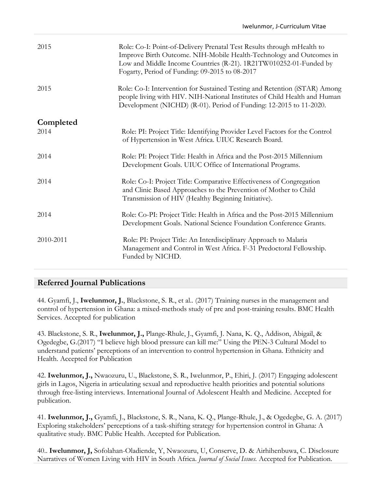| 2015      | Role: Co-I: Point-of-Delivery Prenatal Test Results through mHealth to<br>Improve Birth Outcome. NIH-Mobile Health-Technology and Outcomes in<br>Low and Middle Income Countries (R-21). 1R21TW010252-01-Funded by<br>Fogarty, Period of Funding: 09-2015 to 08-2017 |
|-----------|----------------------------------------------------------------------------------------------------------------------------------------------------------------------------------------------------------------------------------------------------------------------|
| 2015      | Role: Co-I: Intervention for Sustained Testing and Retention (iSTAR) Among<br>people living with HIV. NIH-National Institutes of Child Health and Human<br>Development (NICHD) (R-01). Period of Funding: 12-2015 to 11-2020.                                        |
| Completed |                                                                                                                                                                                                                                                                      |
| 2014      | Role: PI: Project Title: Identifying Provider Level Factors for the Control<br>of Hypertension in West Africa. UIUC Research Board.                                                                                                                                  |
| 2014      | Role: PI: Project Title: Health in Africa and the Post-2015 Millennium<br>Development Goals. UIUC Office of International Programs.                                                                                                                                  |
| 2014      | Role: Co-I: Project Title: Comparative Effectiveness of Congregation<br>and Clinic Based Approaches to the Prevention of Mother to Child<br>Transmission of HIV (Healthy Beginning Initiative).                                                                      |
| 2014      | Role: Co-PI: Project Title: Health in Africa and the Post-2015 Millennium<br>Development Goals. National Science Foundation Conference Grants.                                                                                                                       |
| 2010-2011 | Role: PI: Project Title: An Interdisciplinary Approach to Malaria<br>Management and Control in West Africa. F-31 Predoctoral Fellowship.<br>Funded by NICHD.                                                                                                         |

## **Referred Journal Publications**

44. Gyamfi, J., **Iwelunmor, J.**, Blackstone, S. R., et al.. (2017) Training nurses in the management and control of hypertension in Ghana: a mixed-methods study of pre and post-training results. BMC Health Services. Accepted for publication

43. Blackstone, S. R., **Iwelunmor, J.,** Plange-Rhule, J., Gyamfi, J. Nana, K. Q., Addison, Abigail, & Ogedegbe, G.(2017) "I believe high blood pressure can kill me:" Using the PEN-3 Cultural Model to understand patients' perceptions of an intervention to control hypertension in Ghana. Ethnicity and Health. Accepted for Publication

42. **Iwelunmor, J.,** Nwaozuru, U., Blackstone, S. R., Iwelunmor, P., Ehiri, J. (2017) Engaging adolescent girls in Lagos, Nigeria in articulating sexual and reproductive health priorities and potential solutions through free-listing interviews. International Journal of Adolescent Health and Medicine. Accepted for publication.

41. **Iwelunmor, J.,** Gyamfi, J., Blackstone, S. R., Nana, K. Q., Plange-Rhule, J., & Ogedegbe, G. A. (2017) Exploring stakeholders' perceptions of a task-shifting strategy for hypertension control in Ghana: A qualitative study. BMC Public Health. Accepted for Publication.

40.. **Iwelunmor, J,** Sofolahan-Oladiende, Y, Nwaozuru, U, Conserve, D. & Airhihenbuwa, C. Disclosure Narratives of Women Living with HIV in South Africa. *Journal of Social Issues.* Accepted for Publication.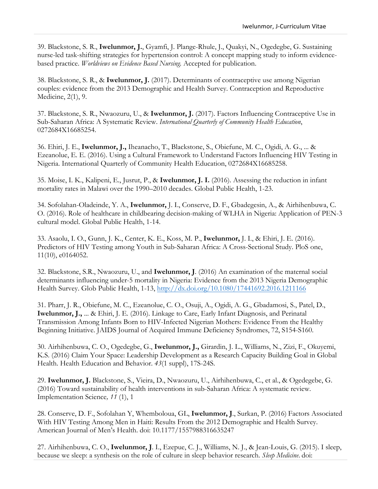39. Blackstone, S. R., **Iwelunmor, J.**, Gyamfi, J. Plange-Rhule, J., Quakyi, N., Ogedegbe, G. Sustaining nurse-led task-shifting strategies for hypertension control: A concept mapping study to inform evidencebased practice. *Worldviews on Evidence Based Nursing.* Accepted for publication.

38. Blackstone, S. R., & **Iwelunmor, J.** (2017). Determinants of contraceptive use among Nigerian couples: evidence from the 2013 Demographic and Health Survey. Contraception and Reproductive Medicine, 2(1), 9.

37. Blackstone, S. R., Nwaozuru, U., & **Iwelunmor, J.** (2017). Factors Influencing Contraceptive Use in Sub-Saharan Africa: A Systematic Review. *International Quarterly of Community Health Education*, 0272684X16685254.

36. Ehiri, J. E., **Iwelunmor, J.,** Iheanacho, T., Blackstone, S., Obiefune, M. C., Ogidi, A. G., ... & Ezeanolue, E. E. (2016). Using a Cultural Framework to Understand Factors Influencing HIV Testing in Nigeria. International Quarterly of Community Health Education, 0272684X16685258.

35. Moise, I. K., Kalipeni, E., Jusrut, P., & **Iwelunmor, J. I.** (2016). Assessing the reduction in infant mortality rates in Malawi over the 1990–2010 decades. Global Public Health, 1-23.

34. Sofolahan-Oladeinde, Y. A., **Iwelunmor,** J. I., Conserve, D. F., Gbadegesin, A., & Airhihenbuwa, C. O. (2016). Role of healthcare in childbearing decision-making of WLHA in Nigeria: Application of PEN-3 cultural model. Global Public Health, 1-14.

33. Asaolu, I. O., Gunn, J. K., Center, K. E., Koss, M. P., **Iwelunmor,** J. I., & Ehiri, J. E. (2016). Predictors of HIV Testing among Youth in Sub-Saharan Africa: A Cross-Sectional Study. PloS one, 11(10), e0164052.

32. Blackstone, S.R., Nwaozuru, U., and **Iwelunmor, J**. (2016) An examination of the maternal social determinants influencing under-5 mortality in Nigeria: Evidence from the 2013 Nigeria Demographic Health Survey. Glob Public Health, 1-13, http://dx.doi.org/10.1080/17441692.2016.1211166

31. Pharr, J. R., Obiefune, M. C., Ezeanolue, C. O., Osuji, A., Ogidi, A. G., Gbadamosi, S., Patel, D., **Iwelunmor, J.,** ... & Ehiri, J. E. (2016). Linkage to Care, Early Infant Diagnosis, and Perinatal Transmission Among Infants Born to HIV-Infected Nigerian Mothers: Evidence From the Healthy Beginning Initiative. JAIDS Journal of Acquired Immune Deficiency Syndromes, 72, S154-S160.

30. Airhihenbuwa, C. O., Ogedegbe, G., **Iwelunmor, J.,** Girardin, J. L., Williams, N., Zizi, F., Okuyemi, K.S. (2016) Claim Your Space: Leadership Development as a Research Capacity Building Goal in Global Health. Health Education and Behavior. *43*(1 suppl), 17S-24S.

29. **Iwelunmor, J.** Blackstone, S., Vieira, D., Nwaozuru, U., Airhihenbuwa, C., et al., & Ogedegebe, G. (2016) Toward sustainability of health interventions in sub-Saharan Africa: A systematic review. Implementation Science*, 11* (1), 1

28. Conserve, D. F., Sofolahan Y, Whemboloua, GL, **Iwelunmor, J**., Surkan, P. (2016) Factors Associated With HIV Testing Among Men in Haiti: Results From the 2012 Demographic and Health Survey. American Journal of Men's Health. doi: 10.1177/1557988316635247

27. Airhihenbuwa, C. O., **Iwelunmor, J**. I., Ezepue, C. J., Williams, N. J., & Jean-Louis, G. (2015). I sleep, because we sleep: a synthesis on the role of culture in sleep behavior research. *Sleep Medicine*. doi: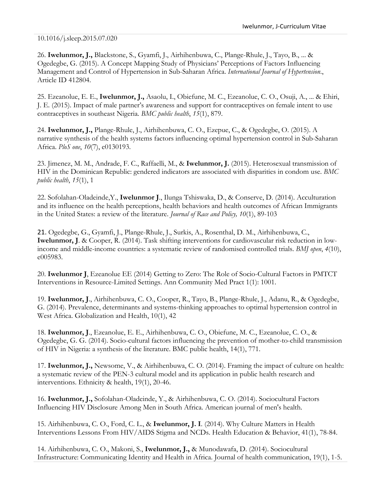10.1016/j.sleep.2015.07.020

26. **Iwelunmor, J.,** Blackstone, S., Gyamfi, J., Airhihenbuwa, C., Plange-Rhule, J., Tayo, B., ... & Ogedegbe, G. (2015). A Concept Mapping Study of Physicians' Perceptions of Factors Influencing Management and Control of Hypertension in Sub-Saharan Africa. *International Journal of Hypertension*., Article ID 412804.

25. Ezeanolue, E. E., **Iwelunmor, J.,** Asaolu, I., Obiefune, M. C., Ezeanolue, C. O., Osuji, A., ... & Ehiri, J. E. (2015). Impact of male partner's awareness and support for contraceptives on female intent to use contraceptives in southeast Nigeria. *BMC public health*, *15*(1), 879.

24. **Iwelunmor, J.,** Plange-Rhule, J., Airhihenbuwa, C. O., Ezepue, C., & Ogedegbe, O. (2015). A narrative synthesis of the health systems factors influencing optimal hypertension control in Sub-Saharan Africa. *PloS one*, *10*(7), e0130193.

23. Jimenez, M. M., Andrade, F. C., Raffaelli, M., & **Iwelunmor, J.** (2015). Heterosexual transmission of HIV in the Dominican Republic: gendered indicators are associated with disparities in condom use. *BMC public health*, *15*(1), 1

22. Sofolahan-Oladeinde,Y., **Iwelunmor J**., Ilunga Tshiswaka, D., & Conserve, D. (2014). Acculturation and its influence on the health perceptions, health behaviors and health outcomes of African Immigrants in the United States: a review of the literature. *Journal of Race and Policy, 10*(1), 89-103

21. Ogedegbe, G., Gyamfi, J., Plange-Rhule, J., Surkis, A., Rosenthal, D. M., Airhihenbuwa, C., **Iwelunmor, J**. & Cooper, R. (2014). Task shifting interventions for cardiovascular risk reduction in lowincome and middle-income countries: a systematic review of randomised controlled trials. *BMJ open*, *4*(10), e005983.

20. **Iwelunmor J**, Ezeanolue EE (2014) Getting to Zero: The Role of Socio-Cultural Factors in PMTCT Interventions in Resource-Limited Settings. Ann Community Med Pract 1(1): 1001.

19. **Iwelunmor, J**., Airhihenbuwa, C. O., Cooper, R., Tayo, B., Plange-Rhule, J., Adanu, R., & Ogedegbe, G. (2014). Prevalence, determinants and systems-thinking approaches to optimal hypertension control in West Africa. Globalization and Health, 10(1), 42

18. **Iwelunmor, J**., Ezeanolue, E. E., Airhihenbuwa, C. O., Obiefune, M. C., Ezeanolue, C. O., & Ogedegbe, G. G. (2014). Socio-cultural factors influencing the prevention of mother-to-child transmission of HIV in Nigeria: a synthesis of the literature. BMC public health, 14(1), 771.

17. **Iwelunmor, J.,** Newsome, V., & Airhihenbuwa, C. O. (2014). Framing the impact of culture on health: a systematic review of the PEN-3 cultural model and its application in public health research and interventions. Ethnicity & health, 19(1), 20-46.

16. **Iwelunmor, J.,** Sofolahan-Oladeinde, Y., & Airhihenbuwa, C. O. (2014). Sociocultural Factors Influencing HIV Disclosure Among Men in South Africa. American journal of men's health.

15. Airhihenbuwa, C. O., Ford, C. L., & **Iwelunmor, J. I**. (2014). Why Culture Matters in Health Interventions Lessons From HIV/AIDS Stigma and NCDs. Health Education & Behavior, 41(1), 78-84.

14. Airhihenbuwa, C. O., Makoni, S., **Iwelunmor, J.,** & Munodawafa, D. (2014). Sociocultural Infrastructure: Communicating Identity and Health in Africa. Journal of health communication, 19(1), 1-5.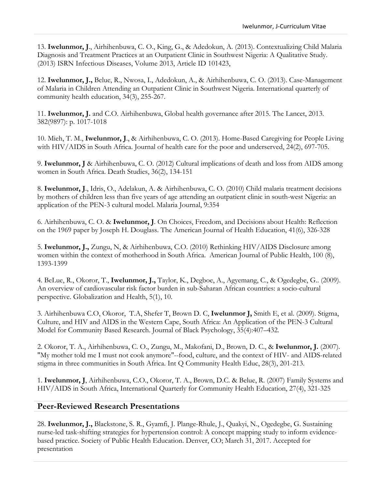13. **Iwelunmor, J**., Airhihenbuwa, C. O., King, G., & Adedokun, A. (2013). Contextualizing Child Malaria Diagnosis and Treatment Practices at an Outpatient Clinic in Southwest Nigeria: A Qualitative Study. (2013) ISRN Infectious Diseases, Volume 2013, Article ID 101423,

12. **Iwelunmor, J.,** Belue, R., Nwosa, I., Adedokun, A., & Airhihenbuwa, C. O. (2013). Case-Management of Malaria in Children Attending an Outpatient Clinic in Southwest Nigeria. International quarterly of community health education, 34(3), 255-267.

11. **Iwelunmor, J.** and C.O. Airhihenbuwa, Global health governance after 2015. The Lancet, 2013. 382(9897): p. 1017-1018

10. Mieh, T. M., **Iwelunmor, J**., & Airhihenbuwa, C. O. (2013). Home-Based Caregiving for People Living with HIV/AIDS in South Africa. Journal of health care for the poor and underserved, 24(2), 697-705.

9. **Iwelunmor, J** & Airhihenbuwa, C. O. (2012) Cultural implications of death and loss from AIDS among women in South Africa. Death Studies, 36(2), 134-151

8. **Iwelunmor, J**., Idris, O., Adelakun, A. & Airhihenbuwa, C. O. (2010) Child malaria treatment decisions by mothers of children less than five years of age attending an outpatient clinic in south-west Nigeria: an application of the PEN-3 cultural model. Malaria Journal, 9:354

6. Airhihenbuwa, C. O. & **Iwelunmor, J**. On Choices, Freedom, and Decisions about Health: Reflection on the 1969 paper by Joseph H. Douglass. The American Journal of Health Education, 41(6), 326-328

5. **Iwelunmor, J.,** Zungu, N, & Airhihenbuwa, C.O. (2010) Rethinking HIV/AIDS Disclosure among women within the context of motherhood in South Africa. American Journal of Public Health, 100 (8), 1393-1399

4. BeLue, R., Okoror, T., **Iwelunmor, J.,** Taylor, K., Degboe, A., Agyemang, C., & Ogedegbe, G.. (2009). An overview of cardiovascular risk factor burden in sub-Saharan African countries: a socio-cultural perspective. Globalization and Health, 5(1), 10.

3. Airhihenbuwa C.O, Okoror, T.A, Shefer T, Brown D. C, **Iwelunmor J,** Smith E, et al. (2009). Stigma, Culture, and HIV and AIDS in the Western Cape, South Africa: An Application of the PEN-3 Cultural Model for Community Based Research. Journal of Black Psychology, 35(4):407–432.

2. Okoror, T. A., Airhihenbuwa, C. O., Zungu, M., Makofani, D., Brown, D. C., & **Iwelunmor, J.** (2007). "My mother told me I must not cook anymore"--food, culture, and the context of HIV- and AIDS-related stigma in three communities in South Africa. Int Q Community Health Educ, 28(3), 201-213.

1. **Iwelunmor, J**, Airhihenbuwa, C.O., Okoror, T. A., Brown, D.C. & Belue, R. (2007) Family Systems and HIV/AIDS in South Africa, International Quarterly for Community Health Education, 27(4), 321-325

## **Peer-Reviewed Research Presentations**

28. **Iwelunmor, J.,** Blackstone, S. R., Gyamfi, J. Plange-Rhule, J., Quakyi, N., Ogedegbe, G. Sustaining nurse-led task-shifting strategies for hypertension control: A concept mapping study to inform evidencebased practice. Society of Public Health Education. Denver, CO; March 31, 2017. Accepted for presentation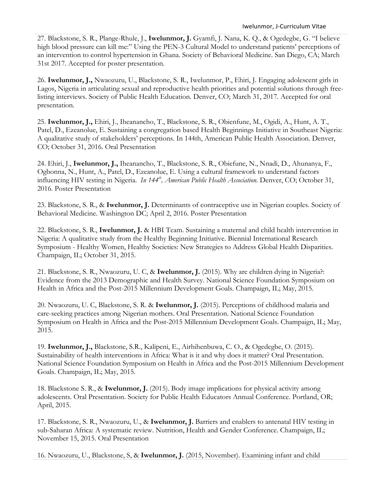27. Blackstone, S. R., Plange-Rhule, J., **Iwelunmor, J.** Gyamfi, J. Nana, K. Q., & Ogedegbe, G. "I believe high blood pressure can kill me:" Using the PEN-3 Cultural Model to understand patients' perceptions of an intervention to control hypertension in Ghana. Society of Behavioral Medicine. San Diego, CA; March 31st 2017. Accepted for poster presentation.

26. **Iwelunmor, J.,** Nwaozuru, U., Blackstone, S. R., Iwelunmor, P., Ehiri, J. Engaging adolescent girls in Lagos, Nigeria in articulating sexual and reproductive health priorities and potential solutions through freelisting interviews. Society of Public Health Education. Denver, CO; March 31, 2017. Accepted for oral presentation.

25. **Iwelunmor, J.,** Ehiri, J., Iheanancho, T., Blackstone, S. R., Obienfune, M., Ogidi, A., Hunt, A. T., Patel, D., Ezeanolue, E. Sustaining a congregation based Health Beginnings Initiative in Southeast Nigeria: A qualitative study of stakeholders' perceptions. In 144th, American Public Health Association. Denver, CO; October 31, 2016. Oral Presentation

24. Ehiri, J., **Iwelunmor, J.,** Iheanancho, T., Blackstone, S. R., Obiefune, N., Nnadi, D., Ahunanya, F., Ogbonna, N., Hunt, A., Patel, D., Ezeanolue, E. Using a cultural framework to understand factors influencing HIV testing in Nigeria. *In 144<sup>th</sup>, American Public Health Association*. Denver, CO; October 31, 2016. Poster Presentation

23. Blackstone, S. R., & **Iwelunmor, J.** Determinants of contraceptive use in Nigerian couples. Society of Behavioral Medicine. Washington DC; April 2, 2016. Poster Presentation

22. Blackstone, S. R., **Iwelunmor, J.** & HBI Team. Sustaining a maternal and child health intervention in Nigeria: A qualitative study from the Healthy Beginning Initiative. Biennial International Research Symposium - Healthy Women, Healthy Societies: New Strategies to Address Global Health Disparities. Champaign, IL; October 31, 2015.

21. Blackstone, S. R., Nwaozuru, U. C, & **Iwelunmor, J.** (2015). Why are children dying in Nigeria?: Evidence from the 2013 Demographic and Health Survey. National Science Foundation Symposium on Health in Africa and the Post-2015 Millennium Development Goals. Champaign, IL; May, 2015.

20. Nwaozuru, U. C, Blackstone, S. R. & **Iwelunmor, J.** (2015). Perceptions of childhood malaria and care-seeking practices among Nigerian mothers. Oral Presentation. National Science Foundation Symposium on Health in Africa and the Post-2015 Millennium Development Goals. Champaign, IL; May, 2015.

19. **Iwelunmor, J.,** Blackstone, S.R., Kalipeni, E., Airhihenbuwa, C. O., & Ogedegbe, O. (2015). Sustainability of health interventions in Africa: What is it and why does it matter? Oral Presentation. National Science Foundation Symposium on Health in Africa and the Post-2015 Millennium Development Goals. Champaign, IL; May, 2015.

18. Blackstone S. R., & **Iwelunmor, J.** (2015). Body image implications for physical activity among adolescents. Oral Presentation. Society for Public Health Educators Annual Conference. Portland, OR; April, 2015.

17. Blackstone, S. R., Nwaozuru, U., & **Iwelunmor, J.** Barriers and enablers to antenatal HIV testing in sub-Saharan Africa: A systematic review. Nutrition, Health and Gender Conference. Champaign, IL; November 15, 2015. Oral Presentation

16. Nwaozuru, U., Blackstone, S, & **Iwelunmor, J.** (2015, November). Examining infant and child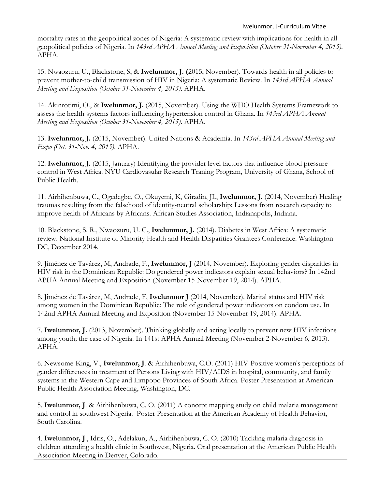mortality rates in the geopolitical zones of Nigeria: A systematic review with implications for health in all geopolitical policies of Nigeria. In *143rd APHA Annual Meeting and Exposition (October 31-November 4, 2015)*. APHA.

15. Nwaozuru, U., Blackstone, S, & **Iwelunmor, J. (**2015, November). Towards health in all policies to prevent mother-to-child transmission of HIV in Nigeria: A systematic Review. In *143rd APHA Annual Meeting and Exposition (October 31-November 4, 2015)*. APHA.

14. Akinrotimi, O., & **Iwelunmor, J.** (2015, November). Using the WHO Health Systems Framework to assess the health systems factors influencing hypertension control in Ghana. In *143rd APHA Annual Meeting and Exposition (October 31-November 4, 2015)*. APHA.

13. **Iwelunmor, J.** (2015, November). United Nations & Academia. In *143rd APHA Annual Meeting and Expo (Oct. 31-Nov. 4, 2015)*. APHA.

12. **Iwelunmor, J.** (2015, January) Identifying the provider level factors that influence blood pressure control in West Africa. NYU Cardiovasular Research Traning Program, University of Ghana, School of Public Health.

11. Airhihenbuwa, C., Ogedegbe, O., Okuyemi, K, Giradin, JL, **Iwelunmor, J.** (2014, November) Healing traumas resulting from the falsehood of identity-neutral scholarship: Lessons from research capacity to improve health of Africans by Africans. African Studies Association, Indianapolis, Indiana.

10. Blackstone, S. R., Nwaozuru, U. C., **Iwelunmor, J.** (2014). Diabetes in West Africa: A systematic review. National Institute of Minority Health and Health Disparities Grantees Conference. Washington DC, December 2014.

9. Jiménez de Tavárez, M, Andrade, F., **Iwelunmor, J** (2014, November). Exploring gender disparities in HIV risk in the Dominican Republic: Do gendered power indicators explain sexual behaviors? In 142nd APHA Annual Meeting and Exposition (November 15-November 19, 2014). APHA.

8. Jiménez de Tavárez, M, Andrade, F, **Iwelunmor J** (2014, November). Marital status and HIV risk among women in the Dominican Republic: The role of gendered power indicators on condom use. In 142nd APHA Annual Meeting and Exposition (November 15-November 19, 2014). APHA.

7. **Iwelunmor, J.** (2013, November). Thinking globally and acting locally to prevent new HIV infections among youth; the case of Nigeria. In 141st APHA Annual Meeting (November 2-November 6, 2013). APHA.

6. Newsome-King, V., **Iwelunmor, J**. & Airhihenbuwa, C.O. (2011) HIV-Positive women's perceptions of gender differences in treatment of Persons Living with HIV/AIDS in hospital, community, and family systems in the Western Cape and Limpopo Provinces of South Africa. Poster Presentation at American Public Health Association Meeting, Washington, DC.

5. **Iwelunmor, J**. & Airhihenbuwa, C. O. (2011) A concept mapping study on child malaria management and control in southwest Nigeria. Poster Presentation at the American Academy of Health Behavior, South Carolina.

4. **Iwelunmor, J**., Idris, O., Adelakun, A., Airhihenbuwa, C. O. (2010) Tackling malaria diagnosis in children attending a health clinic in Southwest, Nigeria. Oral presentation at the American Public Health Association Meeting in Denver, Colorado.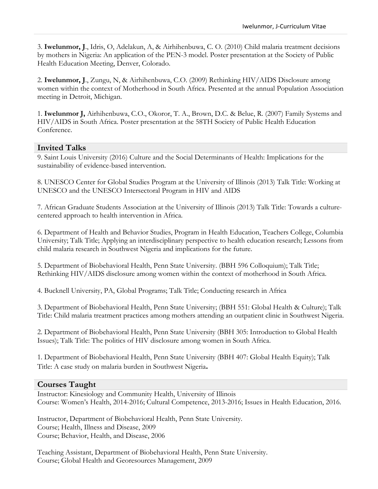3. **Iwelunmor, J**., Idris, O, Adelakun, A, & Airhihenbuwa, C. O. (2010) Child malaria treatment decisions by mothers in Nigeria: An application of the PEN-3 model. Poster presentation at the Society of Public Health Education Meeting, Denver, Colorado.

2. **Iwelunmor, J**., Zungu, N, & Airhihenbuwa, C.O. (2009) Rethinking HIV/AIDS Disclosure among women within the context of Motherhood in South Africa. Presented at the annual Population Association meeting in Detroit, Michigan.

1. **Iwelunmor J,** Airhihenbuwa, C.O., Okoror, T. A., Brown, D.C. & Belue, R. (2007) Family Systems and HIV/AIDS in South Africa. Poster presentation at the 58TH Society of Public Health Education Conference.

#### **Invited Talks**

9. Saint Louis University (2016) Culture and the Social Determinants of Health: Implications for the sustainability of evidence-based intervention.

8. UNESCO Center for Global Studies Program at the University of Illinois (2013) Talk Title: Working at UNESCO and the UNESCO Intersectoral Program in HIV and AIDS

7. African Graduate Students Association at the University of Illinois (2013) Talk Title: Towards a culturecentered approach to health intervention in Africa.

6. Department of Health and Behavior Studies, Program in Health Education, Teachers College, Columbia University; Talk Title; Applying an interdisciplinary perspective to health education research; Lessons from child malaria research in Southwest Nigeria and implications for the future.

5. Department of Biobehavioral Health, Penn State University. (BBH 596 Colloquium); Talk Title; Rethinking HIV/AIDS disclosure among women within the context of motherhood in South Africa.

4. Bucknell University, PA, Global Programs; Talk Title; Conducting research in Africa

3. Department of Biobehavioral Health, Penn State University; (BBH 551: Global Health & Culture); Talk Title: Child malaria treatment practices among mothers attending an outpatient clinic in Southwest Nigeria.

2. Department of Biobehavioral Health, Penn State University (BBH 305: Introduction to Global Health Issues); Talk Title: The politics of HIV disclosure among women in South Africa.

1. Department of Biobehavioral Health, Penn State University (BBH 407: Global Health Equity); Talk Title: A case study on malaria burden in Southwest Nigeria**.** 

#### **Courses Taught**

Instructor: Kinesiology and Community Health, University of Illinois Course: Women's Health, 2014-2016; Cultural Competence, 2013-2016; Issues in Health Education, 2016.

Instructor, Department of Biobehavioral Health, Penn State University. Course; Health, Illness and Disease, 2009 Course; Behavior, Health, and Disease, 2006

Teaching Assistant, Department of Biobehavioral Health, Penn State University. Course; Global Health and Georesources Management, 2009